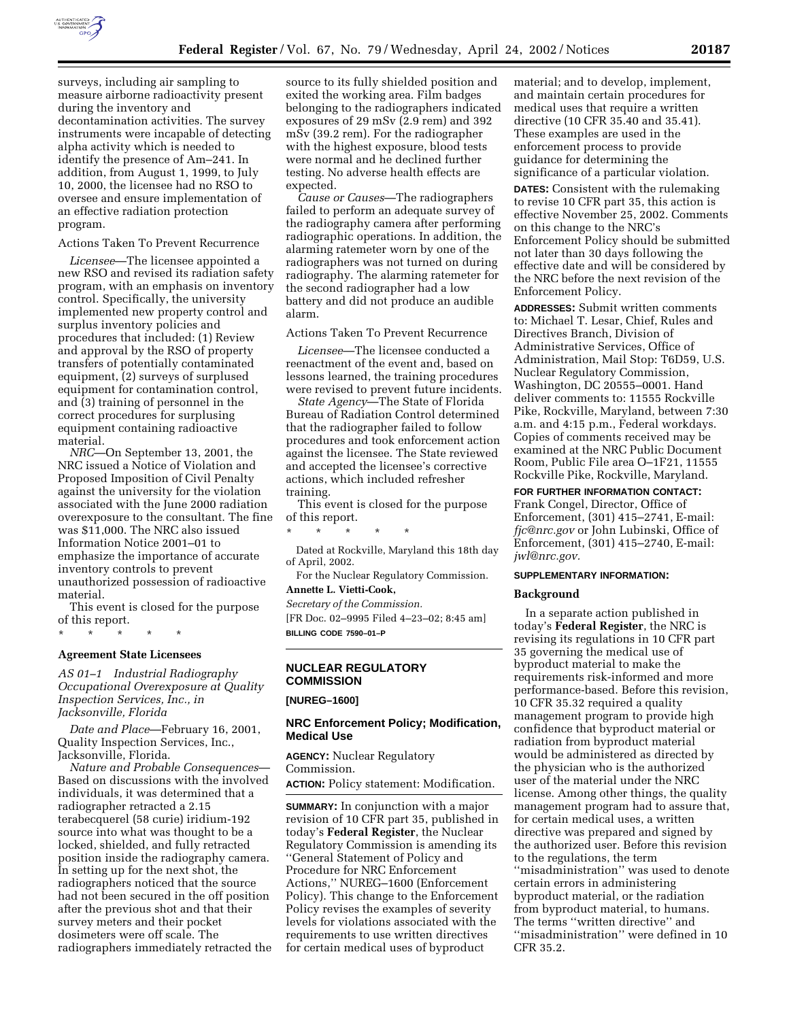

surveys, including air sampling to measure airborne radioactivity present during the inventory and decontamination activities. The survey instruments were incapable of detecting alpha activity which is needed to identify the presence of Am–241. In addition, from August 1, 1999, to July 10, 2000, the licensee had no RSO to oversee and ensure implementation of an effective radiation protection program.

#### Actions Taken To Prevent Recurrence

*Licensee*—The licensee appointed a new RSO and revised its radiation safety program, with an emphasis on inventory control. Specifically, the university implemented new property control and surplus inventory policies and procedures that included: (1) Review and approval by the RSO of property transfers of potentially contaminated equipment, (2) surveys of surplused equipment for contamination control, and (3) training of personnel in the correct procedures for surplusing equipment containing radioactive material.

*NRC*—On September 13, 2001, the NRC issued a Notice of Violation and Proposed Imposition of Civil Penalty against the university for the violation associated with the June 2000 radiation overexposure to the consultant. The fine was \$11,000. The NRC also issued Information Notice 2001–01 to emphasize the importance of accurate inventory controls to prevent unauthorized possession of radioactive material.

This event is closed for the purpose of this report.

### \* \* \* \* \*

## **Agreement State Licensees**

*AS 01–1 Industrial Radiography Occupational Overexposure at Quality Inspection Services, Inc., in Jacksonville, Florida* 

*Date and Place*—February 16, 2001, Quality Inspection Services, Inc., Jacksonville, Florida.

*Nature and Probable Consequences*— Based on discussions with the involved individuals, it was determined that a radiographer retracted a 2.15 terabecquerel (58 curie) iridium-192 source into what was thought to be a locked, shielded, and fully retracted position inside the radiography camera. In setting up for the next shot, the radiographers noticed that the source had not been secured in the off position after the previous shot and that their survey meters and their pocket dosimeters were off scale. The radiographers immediately retracted the

source to its fully shielded position and exited the working area. Film badges belonging to the radiographers indicated exposures of 29 mSv (2.9 rem) and 392 mSv (39.2 rem). For the radiographer with the highest exposure, blood tests were normal and he declined further testing. No adverse health effects are expected.

*Cause or Causes*—The radiographers failed to perform an adequate survey of the radiography camera after performing radiographic operations. In addition, the alarming ratemeter worn by one of the radiographers was not turned on during radiography. The alarming ratemeter for the second radiographer had a low battery and did not produce an audible alarm.

# Actions Taken To Prevent Recurrence

*Licensee*—The licensee conducted a reenactment of the event and, based on lessons learned, the training procedures were revised to prevent future incidents.

*State Agency*—The State of Florida Bureau of Radiation Control determined that the radiographer failed to follow procedures and took enforcement action against the licensee. The State reviewed and accepted the licensee's corrective actions, which included refresher training.

This event is closed for the purpose of this report.

\* \* \* \* \*

Dated at Rockville, Maryland this 18th day of April, 2002.

For the Nuclear Regulatory Commission. **Annette L. Vietti-Cook,** 

*Secretary of the Commission.*

[FR Doc. 02–9995 Filed 4–23–02; 8:45 am] **BILLING CODE 7590–01–P**

# **NUCLEAR REGULATORY COMMISSION**

## **[NUREG–1600]**

### **NRC Enforcement Policy; Modification, Medical Use**

**AGENCY:** Nuclear Regulatory Commission.

**ACTION:** Policy statement: Modification.

**SUMMARY:** In conjunction with a major revision of 10 CFR part 35, published in today's **Federal Register**, the Nuclear Regulatory Commission is amending its ''General Statement of Policy and Procedure for NRC Enforcement Actions,'' NUREG–1600 (Enforcement Policy). This change to the Enforcement Policy revises the examples of severity levels for violations associated with the requirements to use written directives for certain medical uses of byproduct

material; and to develop, implement, and maintain certain procedures for medical uses that require a written directive (10 CFR 35.40 and 35.41). These examples are used in the enforcement process to provide guidance for determining the significance of a particular violation.

**DATES:** Consistent with the rulemaking to revise 10 CFR part 35, this action is effective November 25, 2002. Comments on this change to the NRC's Enforcement Policy should be submitted not later than 30 days following the effective date and will be considered by the NRC before the next revision of the Enforcement Policy.

**ADDRESSES:** Submit written comments to: Michael T. Lesar, Chief, Rules and Directives Branch, Division of Administrative Services, Office of Administration, Mail Stop: T6D59, U.S. Nuclear Regulatory Commission, Washington, DC 20555–0001. Hand deliver comments to: 11555 Rockville Pike, Rockville, Maryland, between 7:30 a.m. and 4:15 p.m., Federal workdays. Copies of comments received may be examined at the NRC Public Document Room, Public File area O–1F21, 11555 Rockville Pike, Rockville, Maryland.

**FOR FURTHER INFORMATION CONTACT:**

Frank Congel, Director, Office of Enforcement, (301) 415–2741, E-mail: *fjc@nrc.gov* or John Lubinski, Office of Enforcement, (301) 415–2740, E-mail: *jwl@nrc.gov.*

#### **SUPPLEMENTARY INFORMATION:**

#### **Background**

In a separate action published in today's **Federal Register**, the NRC is revising its regulations in 10 CFR part 35 governing the medical use of byproduct material to make the requirements risk-informed and more performance-based. Before this revision, 10 CFR 35.32 required a quality management program to provide high confidence that byproduct material or radiation from byproduct material would be administered as directed by the physician who is the authorized user of the material under the NRC license. Among other things, the quality management program had to assure that, for certain medical uses, a written directive was prepared and signed by the authorized user. Before this revision to the regulations, the term ''misadministration'' was used to denote certain errors in administering byproduct material, or the radiation from byproduct material, to humans. The terms ''written directive'' and ''misadministration'' were defined in 10 CFR 35.2.